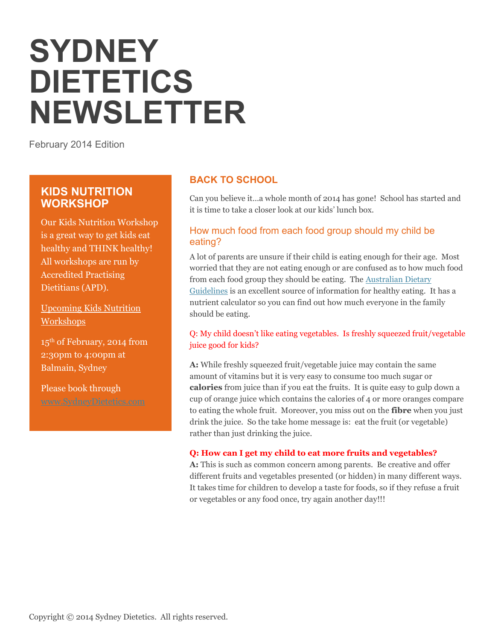# **SYDNEY DIETETICS NEWSLETTER**

February 2014 Edition

# **KIDS NUTRITION WORKSHOP**

Our Kids Nutrition Workshop is a great way to get kids eat healthy and THINK healthy! All workshops are run by Accredited Practising Dietitians (APD).

Upcoming Kids Nutrition Workshops

15th of February, 2014 from 2:30pm to 4:00pm at Balmain, Sydney

Please book through

# **BACK TO SCHOOL**

Can you believe it…a whole month of 2014 has gone! School has started and it is time to take a closer look at our kids' lunch box.

## How much food from each food group should my child be eating?

A lot of parents are unsure if their child is eating enough for their age. Most worried that they are not eating enough or are confused as to how much food from each food group they should be eating. The **Australian Dietary** [Guidelines](http://www.eatforhealth.gov.au/food-essentials/how-much-do-we-need-each-day/recommended-number-serves-children-adolescents-and) is an excellent source of information for healthy eating. It has a nutrient calculator so you can find out how much everyone in the family should be eating.

#### Q: My child doesn't like eating vegetables. Is freshly squeezed fruit/vegetable juice good for kids?

**A:** While freshly squeezed fruit/vegetable juice may contain the same amount of vitamins but it is very easy to consume too much sugar or **calories** from juice than if you eat the fruits. It is quite easy to gulp down a cup of orange juice which contains the calories of 4 or more oranges compare to eating the whole fruit. Moreover, you miss out on the **fibre** when you just drink the juice. So the take home message is: eat the fruit (or vegetable) rather than just drinking the juice.

#### **Q: How can I get my child to eat more fruits and vegetables?**

**A:** This is such as common concern among parents. Be creative and offer different fruits and vegetables presented (or hidden) in many different ways. It takes time for children to develop a taste for foods, so if they refuse a fruit or vegetables or any food once, try again another day!!!